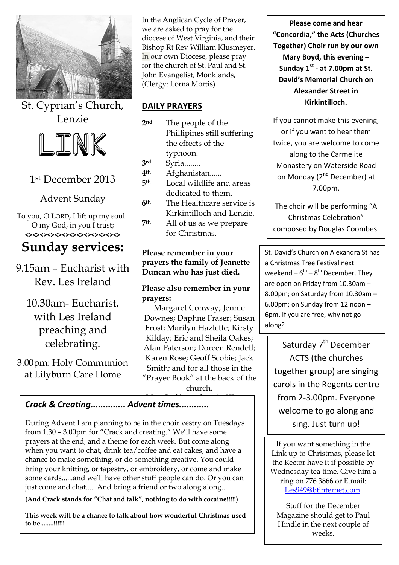

St. Cyprian's Church, Lenzie



# 1st December 2013

Advent Sunday

To you, O LORD, I lift up my soul. O my God, in you I trust; **<><><><><><><><><><><><><>**

# **Sunday services:**

9.15am – Eucharist with Rev. Les Ireland

10.30am- Eucharist, with Les Ireland preaching and celebrating.

3.00pm: Holy Communion at Lilyburn Care Home

In the Anglican Cycle of Prayer, we are asked to pray for the diocese of West Virginia, and their Bishop Rt Rev William Klusmeyer. In our own Diocese, please pray for the church of St. Paul and St. John Evangelist, Monklands, (Clergy: Lorna Mortis)

#### **DAILY PRAYERS**

- **2nd** The people of the Phillipines still suffering the effects of the typhoon.
- **3rd** Syria........
- **4th** Afghanistan......
- 5th Local wildlife and areas dedicated to them.
- **6th** The Healthcare service is Kirkintilloch and Lenzie.
- **7th** All of us as we prepare for Christmas.

#### **Please remember in your prayers the family of Jeanette Duncan who has just died.**

#### **Please also remember in your prayers:**

Margaret Conway; Jennie Downes; Daphne Fraser; Susan Frost; Marilyn Hazlette; Kirsty Kilday; Eric and Sheila Oakes; Alan Paterson; Doreen Rendell; Karen Rose; Geoff Scobie; Jack Smith; and for all those in the "Prayer Book" at the back of the church.

#### **May Godd in His career in His career in His career in His career in His career in His career in His career in**<br>... *Crack & Creating.............. Advent times............*

During Advent I am planning to be in the choir vestry on Tuesdays from 1.30 – 3.00pm for "Crack and creating." We'll have some prayers at the end, and a theme for each week. But come along when you want to chat, drink tea/coffee and eat cakes, and have a chance to make something, or do something creative. You could bring your knitting, or tapestry, or embroidery, or come and make some cards......and we'll have other stuff people can do. Or you can just come and chat..... And bring a friend or two along along....

**(And Crack stands for "Chat and talk", nothing to do with cocaine!!!!!)** 

**This week will be a chance to talk about how wonderful Christmas used to be........!!!!!!**

**Please come and hear "Concordia," the Acts (Churches Together) Choir run by our own Mary Boyd, this evening – Sunday 1st - at 7.00pm at St. David's Memorial Church on Alexander Street in Kirkintilloch.**

If you cannot make this evening, or if you want to hear them twice, you are welcome to come along to the Carmelite Monastery on Waterside Road on Monday (2<sup>nd</sup> December) at 7.00pm.

The choir will be performing "A Christmas Celebration" composed by Douglas Coombes.

St. David's Church on Alexandra St has a Christmas Tree Festival next weekend  $-6^{th} - 8^{th}$  December. They are open on Friday from 10.30am – 8.00pm; on Saturday from 10.30am – 6.00pm; on Sunday from 12 noon – 6pm. If you are free, why not go along?

Saturday 7<sup>th</sup> December ACTS (the churches together group) are singing carols in the Regents centre from 2-3.00pm. Everyone welcome to go along and sing. Just turn up!

If you want something in the Link up to Christmas, please let the Rector have it if possible by Wednesday tea time. Give him a ring on 776 3866 or E.mail: [Les949@btinternet.com.](mailto:Les949@btinternet.com)

Stuff for the December Magazine should get to Paul Hindle in the next couple of weeks.